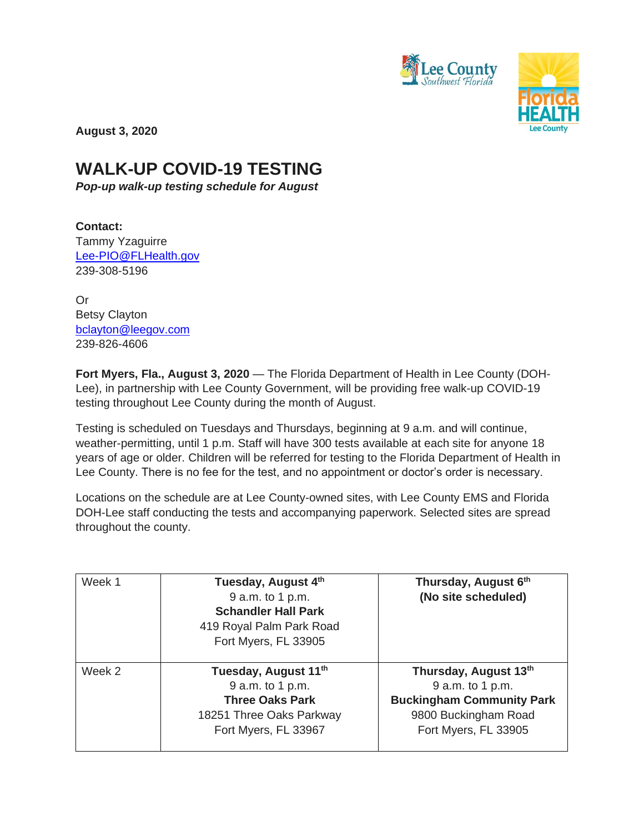



**August 3, 2020**

## **WALK-UP COVID-19 TESTING**

*Pop-up walk-up testing schedule for August*

**Contact:**  Tammy Yzaguirre [Lee-PIO@FLHealth.gov](mailto:Lee-PIO@FLHealth.gov) 239-308-5196

Or Betsy Clayton [bclayton@leegov.com](mailto:bclayton@leegov.com) 239-826-4606

**Fort Myers, Fla., August 3, 2020** — The Florida Department of Health in Lee County (DOH-Lee), in partnership with Lee County Government, will be providing free walk-up COVID-19 testing throughout Lee County during the month of August.

Testing is scheduled on Tuesdays and Thursdays, beginning at 9 a.m. and will continue, weather-permitting, until 1 p.m. Staff will have 300 tests available at each site for anyone 18 years of age or older. Children will be referred for testing to the Florida Department of Health in Lee County. There is no fee for the test, and no appointment or doctor's order is necessary.

Locations on the schedule are at Lee County-owned sites, with Lee County EMS and Florida DOH-Lee staff conducting the tests and accompanying paperwork. Selected sites are spread throughout the county.

| Week 1 | Tuesday, August 4th<br>9 a.m. to 1 p.m.<br><b>Schandler Hall Park</b><br>419 Royal Palm Park Road<br>Fort Myers, FL 33905          | Thursday, August 6th<br>(No site scheduled)                                                                                   |
|--------|------------------------------------------------------------------------------------------------------------------------------------|-------------------------------------------------------------------------------------------------------------------------------|
| Week 2 | Tuesday, August 11 <sup>th</sup><br>9 a.m. to 1 p.m.<br><b>Three Oaks Park</b><br>18251 Three Oaks Parkway<br>Fort Myers, FL 33967 | Thursday, August 13th<br>9 a.m. to 1 p.m.<br><b>Buckingham Community Park</b><br>9800 Buckingham Road<br>Fort Myers, FL 33905 |